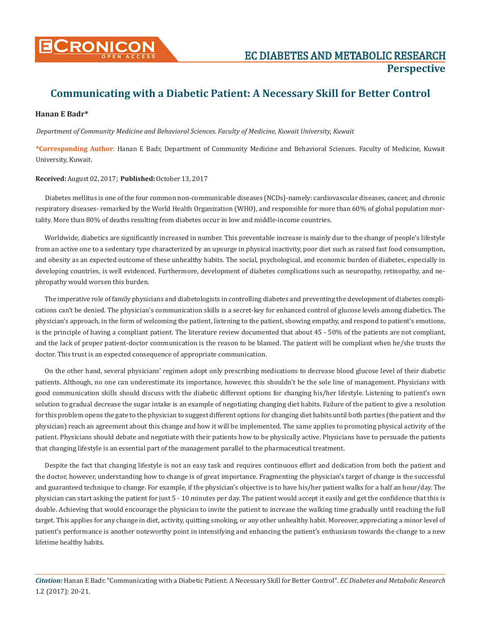

## **Communicating with a Diabetic Patient: A Necessary Skill for Better Control**

## **Hanan E Badr\***

*Department of Community Medicine and Behavioral Sciences. Faculty of Medicine, Kuwait University, Kuwait*

**\*Corresponding Author**: Hanan E Badr, Department of Community Medicine and Behavioral Sciences. Faculty of Medicine, Kuwait University, Kuwait.

## **Received:** August 02, 2017; **Published:** October 13, 2017

Diabetes mellitus is one of the four common non-communicable diseases (NCDs)-namely: cardiovascular diseases, cancer, and chronic respiratory diseases- remarked by the World Health Organization (WHO), and responsible for more than 60% of global population mortality. More than 80% of deaths resulting from diabetes occur in low and middle-income countries.

Worldwide, diabetics are significantly increased in number. This preventable increase is mainly due to the change of people's lifestyle from an active one to a sedentary type characterized by an upsurge in physical inactivity, poor diet such as raised fast food consumption, and obesity as an expected outcome of these unhealthy habits. The social, psychological, and economic burden of diabetes, especially in developing countries, is well evidenced. Furthermore, development of diabetes complications such as neuropathy, retinopathy, and nephropathy would worsen this burden.

The imperative role of family physicians and diabetologists in controlling diabetes and preventing the development of diabetes complications can't be denied. The physician's communication skills is a secret-key for enhanced control of glucose levels among diabetics. The physician's approach, in the form of welcoming the patient, listening to the patient, showing empathy, and respond to patient's emotions, is the principle of having a compliant patient. The literature review documented that about 45 - 50% of the patients are not compliant, and the lack of proper patient-doctor communication is the reason to be blamed. The patient will be compliant when he/she trusts the doctor. This trust is an expected consequence of appropriate communication.

On the other hand, several physicians' regimen adopt only prescribing medications to decrease blood glucose level of their diabetic patients. Although, no one can underestimate its importance, however, this shouldn't be the sole line of management. Physicians with good communication skills should discuss with the diabetic different options for changing his/her lifestyle. Listening to patient's own solution to gradual decrease the sugar intake is an example of negotiating changing diet habits. Failure of the patient to give a resolution for this problem opens the gate to the physician to suggest different options for changing diet habits until both parties (the patient and the physician) reach an agreement about this change and how it will be implemented. The same applies to promoting physical activity of the patient. Physicians should debate and negotiate with their patients how to be physically active. Physicians have to persuade the patients that changing lifestyle is an essential part of the management parallel to the pharmaceutical treatment.

Despite the fact that changing lifestyle is not an easy task and requires continuous effort and dedication from both the patient and the doctor, however, understanding how to change is of great importance. Fragmenting the physician's target of change is the successful and guaranteed technique to change. For example, if the physician's objective is to have his/her patient walks for a half an hour/day. The physician can start asking the patient for just 5 - 10 minutes per day. The patient would accept it easily and get the confidence that this is doable. Achieving that would encourage the physician to invite the patient to increase the walking time gradually until reaching the full target. This applies for any change in diet, activity, quitting smoking, or any other unhealthy habit. Moreover, appreciating a minor level of patient's performance is another noteworthy point in intensifying and enhancing the patient's enthusiasm towards the change to a new lifetime healthy habits.

*Citation:* Hanan E Badr. "Communicating with a Diabetic Patient: A Necessary Skill for Better Control". *EC Diabetes and Metabolic Research*  1.2 (2017): 20-21.